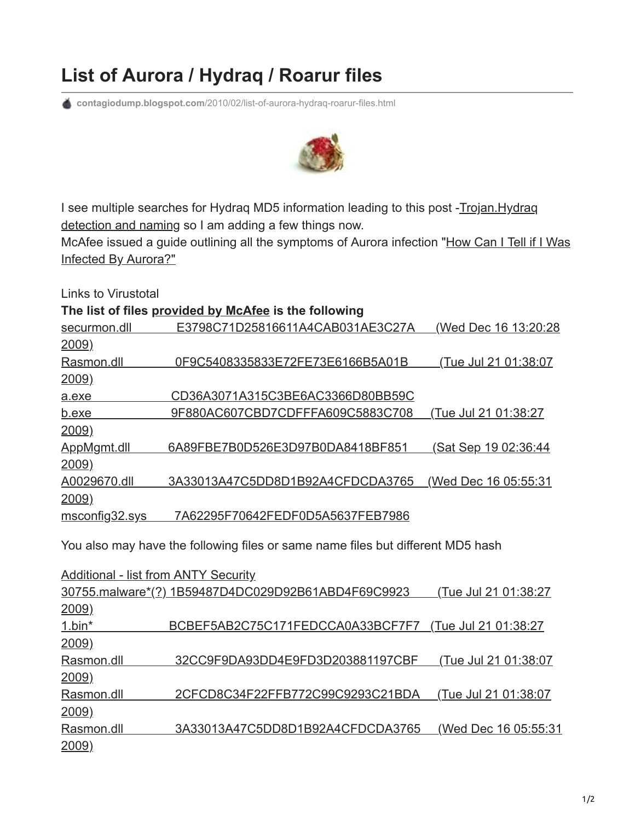## **List of Aurora / Hydraq / Roarur files**

**contagiodump.blogspot.com**[/2010/02/list-of-aurora-hydraq-roarur-files.html](http://contagiodump.blogspot.com/2010/02/list-of-aurora-hydraq-roarur-files.html)



[I see multiple searches for Hydraq MD5 information leading to this post -Trojan.Hydraq](http://contagiodump.blogspot.com/2010/01/trojanhydraq-detection-and-naming-fail.html) detection and naming so I am adding a few things now.

[McAfee issued a guide outlining all the symptoms of Aurora infection "How Can I Tell if I Was](http://www.mcafee.com/us/local_content/reports/how_can_u_tell.pdf) Infected By Aurora?"

Links to Virustotal

**The list of files [provided by](http://www.blogger.com/goog_1265645069627) [McAfee](http://www.mcafee.com/us/local_content/reports/how_can_u_tell.pdf) is the following**

|                | <u>.</u> ,                       |                             |
|----------------|----------------------------------|-----------------------------|
| securmon.dll   | E3798C71D25816611A4CAB031AE3C27A | (Wed Dec 16 13:20:28        |
| 2009)          |                                  |                             |
| Rasmon.dll     | 0F9C5408335833E72FE73E6166B5A01B | <u>(Tue Jul 21 01:38:07</u> |
| <u>2009)</u>   |                                  |                             |
| a.exe          | CD36A3071A315C3BE6AC3366D80BB59C |                             |
| b.exe          | 9F880AC607CBD7CDFFFA609C5883C708 | Tue Jul 21 01:38:27         |
| 2009)          |                                  |                             |
| AppMgmt.dll    | 6A89FBE7B0D526E3D97B0DA8418BF851 | <u>(Sat Sep 19 02:36:44</u> |
| <u>2009)</u>   |                                  |                             |
| A0029670.dll   | 3A33013A47C5DD8D1B92A4CFDCDA3765 | (Wed Dec 16 05:55:31)       |
| 2009)          |                                  |                             |
| msconfig32.sys | 7A62295F70642FEDF0D5A5637FEB7986 |                             |

You also may have the following files or same name files but different MD5 hash

[Additional - list from ANTY Security](http://www.antiy.com/cn/security/2010/s100128_002.htm) [30755.malware\\*\(?\) 1B59487D4DC029D92B61ABD4F69C9923 \(Tue Jul 21 01:38:27](http://www.virustotal.com/analisis/f3ee10fca92f1ea133a592c419219c6de95c4339ccf9acf7a374a72f5861c070-1264023300) 2009) 1.bin\* BCBEF5AB2C75C171FEDCCA0A33BCF7F7 (Tue Jul 21 01:38:27 2009) [Rasmon.dll 32CC9F9DA93DD4E9FD3D203881197CBF \(Tue Jul 21 01:38:07](http://www.virustotal.com/analisis/287571186a4cb7522ae37770c8f338d06a7d6055665fc5b6788b51627ed2673b-1263825379) 2009) Rasmon.dll 2CFCD8C34F22FFB772C99C9293C21BDA (Tue Jul 21 01:38:07 2009) [Rasmon.dll 3A33013A47C5DD8D1B92A4CFDCDA3765 \(Wed Dec 16 05:55:31](http://www.virustotal.com/analisis/f6ba6f1b8558c8274c24ba2fbf32e6189b5778929a4a86e6bb4fbcff687c8047-1263878745) 2009)